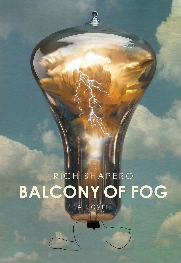## RICH SHAPERO BALCONY OF FOG

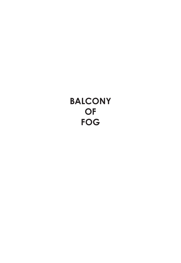## **BALCONY OF FOG**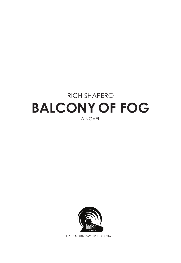## RICH SHAPERO A NOVEL **BALCONY OF FOG**



half moon bay, california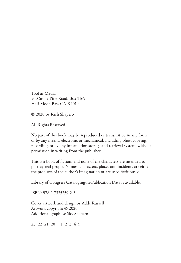TooFar Media 500 Stone Pine Road, Box 3169 Half Moon Bay, CA 94019

© 2020 by Rich Shapero

All Rights Reserved.

No part of this book may be reproduced or transmitted in any form or by any means, electronic or mechanical, including photocopying, recording, or by any information storage and retrieval system, without permission in writing from the publisher.

This is a book of fiction, and none of the characters are intended to portray real people. Names, characters, places and incidents are either the products of the author's imagination or are used fictitiously.

Library of Congress Cataloging-in-Publication Data is available.

ISBN: 978-1-7335259-2-3

Cover artwork and design by Adde Russell Artwork copyright © 2020 Additional graphics: Sky Shapero

23 22 21 20 1 2 3 4 5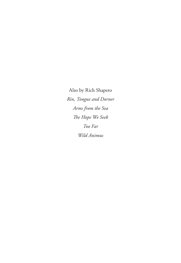Also by Rich Shapero *Rin, Tongue and Dorner Arms from the Sea The Hope We Seek Too Far Wild Animus*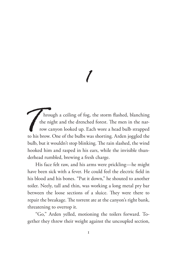## *1*

hrough a ceiling of fog, the storm flashed, blanching the night and the drenched forest. The men in the narrow canyon looked up. Each wore a head bulb strapped to his brow. One of the bulbs was shorting. Arden joggled the bulb, but it wouldn't stop blinking. The rain slashed, the wind hooked him and rasped in his ears, while the invisible thunderhead rumbled, brewing a fresh charge. to his<br>bulb,<br>hooke<br>derhe

His face felt raw, and his arms were prickling—he might have been sick with a fever. He could feel the electric field in his blood and his bones. "Put it down," he shouted to another toiler. Neely, tall and thin, was working a long metal pry bar between the loose sections of a sluice. They were there to repair the breakage. The torrent ate at the canyon's right bank, threatening to overtop it.

"Go," Arden yelled, motioning the toilers forward. Together they threw their weight against the uncoupled section,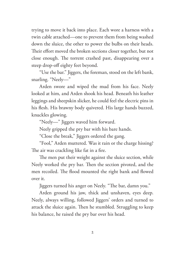trying to move it back into place. Each wore a harness with a twin cable attached—one to prevent them from being washed down the sluice, the other to power the bulbs on their heads. Their effort moved the broken sections closer together, but not close enough. The torrent crashed past, disappearing over a steep drop-off eighty feet beyond.

"Use the bar." Jiggers, the foreman, stood on the left bank, snarling. "Neely—"

Arden swore and wiped the mud from his face. Neely looked at him, and Arden shook his head. Beneath his leather leggings and sheepskin slicker, he could feel the electric pins in his flesh. His brawny body quivered. His large hands buzzed, knuckles glowing.

"Neely—" Jiggers waved him forward.

Neely gripped the pry bar with his bare hands.

"Close the break," Jiggers ordered the gang.

"Fool," Arden muttered. Was it rain or the charge hissing? The air was crackling like fat in a fire.

The men put their weight against the sluice section, while Neely worked the pry bar. Then the section pivoted, and the men recoiled. The flood mounted the right bank and flowed over it.

Jiggers turned his anger on Neely. "The bar, damn you."

Arden ground his jaw, thick and unshaven, eyes deep. Neely, always willing, followed Jiggers' orders and turned to attack the sluice again. Then he stumbled. Struggling to keep his balance, he raised the pry bar over his head.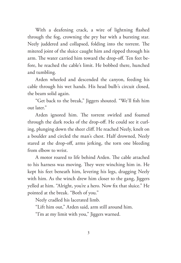With a deafening crack, a wire of lightning flashed through the fog, crowning the pry bar with a bursting star. Neely juddered and collapsed, folding into the torrent. The mitered joint of the sluice caught him and ripped through his arm. The water carried him toward the drop-off. Ten feet before, he reached the cable's limit. He bobbed there, hunched and tumbling.

Arden wheeled and descended the canyon, feeding his cable through his wet hands. His head bulb's circuit closed, the beam solid again.

"Get back to the break," Jiggers shouted. "We'll fish him out later."

Arden ignored him. The torrent swirled and foamed through the dark rocks of the drop-off. He could see it curling, plunging down the sheer cliff. He reached Neely, knelt on a boulder and circled the man's chest. Half drowned, Neely stared at the drop-off, arms jerking, the torn one bleeding from elbow to wrist.

A motor roared to life behind Arden. The cable attached to his harness was moving. They were winching him in. He kept his feet beneath him, levering his legs, dragging Neely with him. As the winch drew him closer to the gang, Jiggers yelled at him. "Alright, you're a hero. Now fix that sluice." He pointed at the break. "Both of you."

Neely cradled his lacerated limb.

"Lift him out," Arden said, arm still around him.

"I'm at my limit with you," Jiggers warned.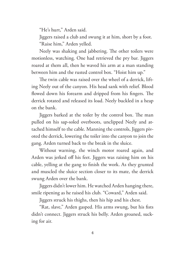"He's hurt," Arden said.

Jiggers raised a club and swung it at him, short by a foot. "Raise him," Arden yelled.

Neely was shaking and jabbering. The other toilers were motionless, watching. One had retrieved the pry bar. Jiggers roared at them all, then he waved his arm at a man standing between him and the rusted control box. "Hoist him up."

The twin cable was raised over the wheel of a derrick, lifting Neely out of the canyon. His head sank with relief. Blood flowed down his forearm and dripped from his fingers. The derrick rotated and released its load. Neely buckled in a heap on the bank.

Jiggers barked at the toiler by the control box. The man pulled on his sap-soled overboots, unclipped Neely and attached himself to the cable. Manning the controls, Jiggers pivoted the derrick, lowering the toiler into the canyon to join the gang. Arden turned back to the break in the sluice.

Without warning, the winch motor roared again, and Arden was jerked off his feet. Jiggers was raising him on his cable, yelling at the gang to finish the work. As they grunted and muscled the sluice section closer to its mate, the derrick swung Arden over the bank.

Jiggers didn't lower him. He watched Arden hanging there, smile ripening as he raised his club. "Coward," Arden said.

Jiggers struck his thighs, then his hip and his chest.

"Rat, slave," Arden gasped. His arms swung, but his fists didn't connect. Jiggers struck his belly. Arden groaned, sucking for air.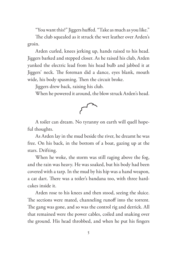"You want this?" Jiggers huffed. "Take as much as you like."

The club squealed as it struck the wet leather over Arden's groin.

Arden curled, knees jerking up, hands raised to his head. Jiggers barked and stepped closer. As he raised his club, Arden yanked the electric lead from his head bulb and jabbed it at Jiggers' neck. The foreman did a dance, eyes blank, mouth wide, his body spasming. Then the circuit broke.

Jiggers drew back, raising his club.

When he powered it around, the blow struck Arden's head.



A toiler can dream. No tyranny on earth will quell hopeful thoughts.

As Arden lay in the mud beside the river, he dreamt he was free. On his back, in the bottom of a boat, gazing up at the stars. Drifting.

When he woke, the storm was still raging above the fog, and the rain was heavy. He was soaked, but his body had been covered with a tarp. In the mud by his hip was a hand weapon, a cat dart. There was a toiler's bandana too, with three hardcakes inside it.

Arden rose to his knees and then stood, seeing the sluice. The sections were mated, channeling runoff into the torrent. The gang was gone, and so was the control rig and derrick. All that remained were the power cables, coiled and snaking over the ground. His head throbbed, and when he put his fingers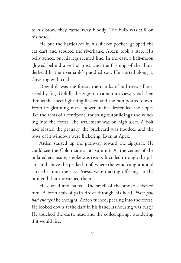to his brow, they came away bloody. The bulb was still on his head.

He put the hardcakes in his slicker pocket, gripped the cat dart and scouted the riverbank. Arden took a step. His belly ached, but his legs seemed fine. In the east, a half-moon glowed behind a veil of mist, and the flashing of the thunderhead lit the riverbank's puddled soil. He started along it, shivering with cold.

Downhill was the forest, the trunks of tall trees silhouetted by fog. Uphill, the ziggurat came into view, vivid then dim as the sheet lightning flashed and the rain poured down. From its gleaming mass, power mains descended the slopes like the arms of a centipede, touching outbuildings and winding into the forest. The settlement was on high alert. A bolt had blasted the granary, the brickyard was flooded, and the rows of lit windows were flickering. Even at Apex.

Arden started up the pathway toward the ziggurat. He could see the Colonnade at its summit. At the center of the pillared enclosure, smoke was rising. It coiled through the pillars and above the peaked roof, where the wind caught it and carried it into the sky. Priests were making offerings to the rain god that threatened them.

He cursed and halted. The smell of the smoke sickened him. A fresh stab of pain drove through his head. *Have you had enough?* he thought. Arden turned, peering into the forest. He looked down at the dart in his hand. Its housing was rusty. He touched the dart's head and the coiled spring, wondering if it would fire.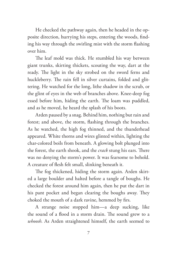He checked the pathway again, then he headed in the opposite direction, hurrying his steps, entering the woods, finding his way through the swirling mist with the storm flashing over him.

The leaf mold was thick. He stumbled his way between giant trunks, skirting thickets, scouting the way, dart at the ready. The light in the sky strobed on the sword ferns and huckleberry. The rain fell in silver curtains, folded and glittering. He watched for the long, lithe shadow in the scrub, or the glint of eyes in the web of branches above. Knee-deep fog essed before him, hiding the earth. The loam was puddled, and as he moved, he heard the splash of his boots.

Arden paused by a snag. Behind him, nothing but rain and forest; and above, the storm, flashing through the branches. As he watched, the high fog thinned, and the thunderhead appeared. White thorns and wires glinted within, lighting the char-colored boils from beneath. A glowing bolt plunged into the forest, the earth shook, and the *crack* stung his ears. There was no denying the storm's power. It was fearsome to behold. A creature of flesh felt small, slinking beneath it.

The fog thickened, hiding the storm again. Arden skirted a large boulder and halted before a tangle of boughs. He checked the forest around him again, then he put the dart in his pant pocket and began clearing the boughs away. They choked the mouth of a dark ravine, hemmed by firs.

A strange noise stopped him—a deep sucking, like the sound of a flood in a storm drain. The sound grew to a *whoosh*. As Arden straightened himself, the earth seemed to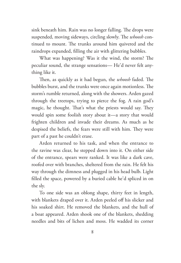sink beneath him. Rain was no longer falling. The drops were suspended, moving sideways, circling slowly. The *whoosh* continued to mount. The trunks around him quivered and the raindrops expanded, filling the air with glittering bubbles.

What was happening? Was it the wind, the storm? The peculiar sound, the strange sensations— He'd never felt anything like it.

Then, as quickly as it had begun, the *whoosh* faded. The bubbles burst, and the trunks were once again motionless. The storm's rumble returned, along with the showers. Arden gazed through the treetops, trying to pierce the fog. A rain god's magic, he thought. That's what the priests would say. They would spin some foolish story about it—a story that would frighten children and invade their dreams. As much as he despised the beliefs, the fears were still with him. They were part of a past he couldn't erase.

Arden returned to his task, and when the entrance to the ravine was clear, he stepped down into it. On either side of the entrance, spears were ranked. It was like a dark cave, roofed over with branches, sheltered from the rain. He felt his way through the dimness and plugged in his head bulb. Light filled the space, powered by a buried cable he'd spliced in on the sly.

To one side was an oblong shape, thirty feet in length, with blankets draped over it. Arden peeled off his slicker and his soaked shirt. He removed the blankets, and the hull of a boat appeared. Arden shook one of the blankets, shedding needles and bits of lichen and moss. He wadded its corner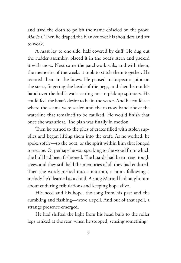and used the cloth to polish the name chiseled on the prow: *Mariod*. Then he draped the blanket over his shoulders and set to work.

A mast lay to one side, half covered by duff. He dug out the rudder assembly, placed it in the boat's stern and packed it with moss. Next came the patchwork sails, and with them, the memories of the weeks it took to stitch them together. He secured them in the bows. He paused to inspect a joint on the stern, fingering the heads of the pegs, and then he ran his hand over the hull's waist caring not to pick up splinters. He could feel the boat's desire to be in the water. And he could see where the seams were sealed and the narrow band above the waterline that remained to be caulked. He would finish that once she was afloat. The plan was finally in motion.

Then he turned to the piles of crates filled with stolen supplies and began lifting them into the craft. As he worked, he spoke softly—to the boat, or the spirit within him that longed to escape. Or perhaps he was speaking to the wood from which the hull had been fashioned. The boards had been trees, tough trees, and they still held the memories of all they had endured. Then the words melted into a murmur, a hum, following a melody he'd learned as a child. A song Mariod had taught him about enduring tribulations and keeping hope alive.

His need and his hope, the song from his past and the rumbling and flashing—wove a spell. And out of that spell, a strange presence emerged.

He had shifted the light from his head bulb to the roller logs ranked at the rear, when he stopped, sensing something.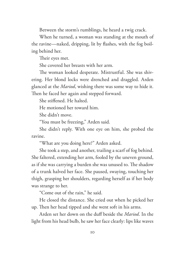Between the storm's rumblings, he heard a twig crack.

When he turned, a woman was standing at the mouth of the ravine—naked, dripping, lit by flashes, with the fog boiling behind her.

Their eyes met.

She covered her breasts with her arm.

The woman looked desperate. Mistrustful. She was shivering. Her blond locks were drenched and draggled. Arden glanced at the *Mariod*, wishing there was some way to hide it. Then he faced her again and stepped forward.

She stiffened. He halted.

He motioned her toward him.

She didn't move.

"You must be freezing," Arden said.

She didn't reply. With one eye on him, she probed the ravine.

"What are you doing here?" Arden asked.

She took a step, and another, trailing a scarf of fog behind. She faltered, extending her arm, fooled by the uneven ground, as if she was carrying a burden she was unused to. The shadow of a trunk halved her face. She paused, swaying, touching her thigh, grasping her shoulders, regarding herself as if her body was strange to her.

"Come out of the rain," he said.

He closed the distance. She cried out when he picked her up. Then her head tipped and she went soft in his arms.

Arden set her down on the duff beside the *Mariod*. In the light from his head bulb, he saw her face clearly: lips like waves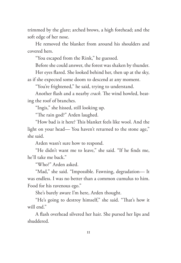trimmed by the glare; arched brows, a high forehead; and the soft edge of her nose.

He removed the blanket from around his shoulders and covered hers.

"You escaped from the Rink," he guessed.

Before she could answer, the forest was shaken by thunder.

Her eyes flared. She looked behind her, then up at the sky, as if she expected some doom to descend at any moment.

"You're frightened," he said, trying to understand.

Another flash and a nearby *crack*. The wind howled, beating the roof of branches.

"Ingis," she hissed, still looking up.

"The rain god?" Arden laughed.

"How bad is it here? This blanket feels like wool. And the light on your head— You haven't returned to the stone age," she said.

Arden wasn't sure how to respond.

"He didn't want me to leave," she said. "If he finds me, he'll take me back."

"Who?" Arden asked.

"Mad," she said. "Impossible. Fawning, degradation— It was endless. I was no better than a common cumulus to him. Food for his ravenous ego."

She's barely aware I'm here, Arden thought.

"He's going to destroy himself," she said. "That's how it will end."

A flash overhead silvered her hair. She pursed her lips and shuddered.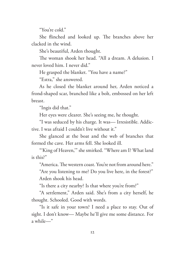"You're cold."

She flinched and looked up. The branches above her clacked in the wind.

She's beautiful, Arden thought.

The woman shook her head. "All a dream. A delusion. I never loved him. I never did."

He grasped the blanket. "You have a name?"

"Estra," she answered.

As he closed the blanket around her, Arden noticed a frond-shaped scar, branched like a bolt, embossed on her left breast.

"Ingis did that."

Her eyes were clearer. She's seeing me, he thought.

"I was seduced by his charge. It was— Irresistible. Addictive. I was afraid I couldn't live without it."

She glanced at the boat and the web of branches that formed the cave. Her arms fell. She looked ill.

"'King of Heaven,'" she smirked. "Where am I? What land is this?"

"America. The western coast. You're not from around here."

"Are you listening to me? Do you live here, in the forest?" Arden shook his head.

"Is there a city nearby? Is that where you're from?"

"A settlement," Arden said. She's from a city herself, he thought. Schooled. Good with words.

"Is it safe in your town? I need a place to stay. Out of sight. I don't know— Maybe he'll give me some distance. For a while—"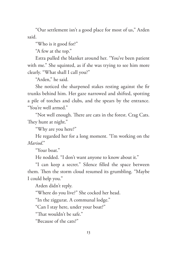"Our settlement isn't a good place for most of us," Arden said.

"Who is it good for?"

"A few at the top."

Estra pulled the blanket around her. "You've been patient with me." She squinted, as if she was trying to see him more clearly. "What shall I call you?"

"Arden," he said.

She noticed the sharpened stakes resting against the fir trunks behind him. Her gaze narrowed and shifted, spotting a pile of torches and clubs, and the spears by the entrance. "You're well armed."

"Not well enough. There are cats in the forest. Crag Cats. They hunt at night."

"Why are you here?"

He regarded her for a long moment. "I'm working on the *Mariod*."

"Your boat."

He nodded. "I don't want anyone to know about it."

"I can keep a secret." Silence filled the space between them. Then the storm cloud resumed its grumbling. "Maybe I could help you."

Arden didn't reply.

"Where do you live?" She cocked her head.

"In the ziggurat. A communal lodge."

"Can I stay here, under your boat?"

"That wouldn't be safe."

"Because of the cats?"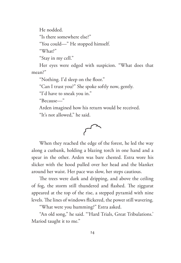He nodded.

"Is there somewhere else?"

"You could—" He stopped himself.

"What?"

"Stay in my cell."

Her eyes were edged with suspicion. "What does that mean?"

"Nothing. I'd sleep on the floor."

"Can I trust you?" She spoke softly now, gently.

"I'd have to sneak you in."

"Because—"

Arden imagined how his return would be received.

"It's not allowed," he said.



When they reached the edge of the forest, he led the way along a cutbank, holding a blazing torch in one hand and a spear in the other. Arden was bare chested. Estra wore his slicker with the hood pulled over her head and the blanket around her waist. Her pace was slow, her steps cautious.

The trees were dark and dripping, and above the ceiling of fog, the storm still thundered and flashed. The ziggurat appeared at the top of the rise, a stepped pyramid with nine levels. The lines of windows flickered, the power still wavering.

"What were you humming?" Estra asked.

"An old song," he said. "'Hard Trials, Great Tribulations.' Mariod taught it to me."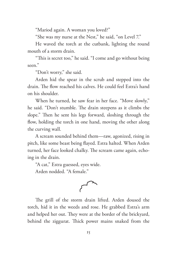"Mariod again. A woman you loved?"

"She was my nurse at the Nest," he said, "on Level 7."

He waved the torch at the cutbank, lighting the round mouth of a storm drain.

"This is secret too," he said. "I come and go without being seen."

"Don't worry," she said.

Arden hid the spear in the scrub and stepped into the drain. The flow reached his calves. He could feel Estra's hand on his shoulder.

When he turned, he saw fear in her face. "Move slowly," he said. "Don't stumble. The drain steepens as it climbs the slope." Then he sent his legs forward, sloshing through the flow, holding the torch in one hand, moving the other along the curving wall.

A scream sounded behind them—raw, agonized, rising in pitch, like some beast being flayed. Estra halted. When Arden turned, her face looked chalky. The scream came again, echoing in the drain.

"A cat," Estra guessed, eyes wide. Arden nodded. "A female."

موسلس

The grill of the storm drain lifted. Arden doused the torch, hid it in the weeds and rose. He grabbed Estra's arm and helped her out. They were at the border of the brickyard, behind the ziggurat. Thick power mains snaked from the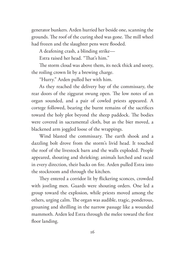generator bunkers. Arden hurried her beside one, scanning the grounds. The roof of the curing shed was gone. The mill wheel had frozen and the slaughter pens were flooded.

A deafening crash, a blinding strike—

Estra raised her head. "That's him."

The storm cloud was above them, its neck thick and sooty, the roiling crown lit by a brewing charge.

"Hurry." Arden pulled her with him.

As they reached the delivery bay of the commissary, the rear doors of the ziggurat swung open. The low notes of an organ sounded, and a pair of cowled priests appeared. A cortege followed, bearing the burnt remains of the sacrifices toward the holy plot beyond the sheep paddock. The bodies were covered in sacramental cloth, but as the bier moved, a blackened arm joggled loose of the wrappings.

Wind blasted the commissary. The earth shook and a dazzling bolt drove from the storm's livid head. It touched the roof of the livestock barn and the walls exploded. People appeared, shouting and shrieking; animals lurched and raced in every direction, their backs on fire. Arden pulled Estra into the stockroom and through the kitchen.

They entered a corridor lit by flickering sconces, crowded with jostling men. Guards were shouting orders. One led a group toward the explosion, while priests moved among the others, urging calm. The organ was audible, tragic, ponderous, groaning and shrilling in the narrow passage like a wounded mammoth. Arden led Estra through the melee toward the first floor landing.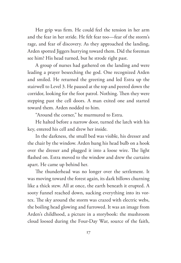Her grip was firm. He could feel the tension in her arm and the fear in her stride. He felt fear too—fear of the storm's rage, and fear of discovery. As they approached the landing, Arden spotted Jiggers hurrying toward them. Did the foreman see him? His head turned, but he strode right past.

A group of nurses had gathered on the landing and were leading a prayer beseeching the god. One recognized Arden and smiled. He returned the greeting and led Estra up the stairwell to Level 3. He paused at the top and peered down the corridor, looking for the foot patrol. Nothing. Then they were stepping past the cell doors. A man exited one and started toward them. Arden nodded to him.

"Around the corner," he murmured to Estra.

He halted before a narrow door, turned the latch with his key, entered his cell and drew her inside.

In the darkness, the small bed was visible, his dresser and the chair by the window. Arden hung his head bulb on a hook over the dresser and plugged it into a loose wire. The light flashed on. Estra moved to the window and drew the curtains apart. He came up behind her.

The thunderhead was no longer over the settlement. It was moving toward the forest again, its dark billows churning like a thick stew. All at once, the earth beneath it erupted. A sooty funnel reached down, sucking everything into its vortex. The sky around the storm was crazed with electric webs, the boiling head glowing and furrowed. It was an image from Arden's childhood, a picture in a storybook: the mushroom cloud loosed during the Four-Day War, source of the faith,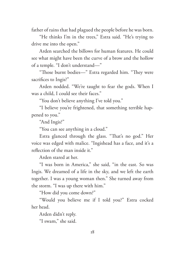father of rains that had plagued the people before he was born.

"He thinks I'm in the trees," Estra said. "He's trying to drive me into the open."

Arden searched the billows for human features. He could see what might have been the curve of a brow and the hollow of a temple. "I don't understand—"

"Those burnt bodies—" Estra regarded him. "They were sacrifices to Ingis?"

Arden nodded. "We're taught to fear the gods. When I was a child, I could see their faces."

"You don't believe anything I've told you."

"I believe you're frightened, that something terrible happened to you."

"And Ingis?"

"You can see anything in a cloud."

Estra glanced through the glass. "That's no god." Her voice was edged with malice. "Ingishead has a face, and it's a reflection of the man inside it."

Arden stared at her.

"I was born in America," she said, "in the east. So was Ingis. We dreamed of a life in the sky, and we left the earth together. I was a young woman then." She turned away from the storm. "I was up there with him."

"How did you come down?"

"Would you believe me if I told you?" Estra cocked her head.

Arden didn't reply.

"I swam," she said.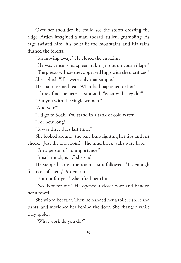Over her shoulder, he could see the storm crossing the ridge. Arden imagined a man aboard, sullen, grumbling. As rage twisted him, his bolts lit the mountains and his rains flushed the forests.

"It's moving away." He closed the curtains.

"He was venting his spleen, taking it out on your village." "The priests will say they appeased Ingis with the sacrifices."

She sighed. "If it were only that simple."

Her pain seemed real. What had happened to her?

"If they find me here," Estra said, "what will they do?"

"Put you with the single women."

"And you?"

"I'd go to Soak. You stand in a tank of cold water."

"For how long?"

"It was three days last time."

She looked around, the bare bulb lighting her lips and her cheek. "Just the one room?" The mud brick walls were bare.

"I'm a person of no importance."

"It isn't much, is it," she said.

He stepped across the room. Estra followed. "It's enough for most of them," Arden said.

"But not for you." She lifted her chin.

"No. Not for me." He opened a closet door and handed her a towel.

She wiped her face. Then he handed her a toiler's shirt and pants, and motioned her behind the door. She changed while they spoke.

"What work do you do?"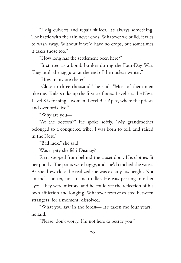"I dig culverts and repair sluices. It's always something. The battle with the rain never ends. Whatever we build, it tries to wash away. Without it we'd have no crops, but sometimes it takes those too."

"How long has the settlement been here?"

"It started as a bomb bunker during the Four-Day War. They built the ziggurat at the end of the nuclear winter."

"How many are there?"

"Close to three thousand," he said. "Most of them men like me. Toilers take up the first six floors. Level 7 is the Nest. Level 8 is for single women. Level 9 is Apex, where the priests and overlords live."

"Why are you—"

"At the bottom?" He spoke softly. "My grandmother belonged to a conquered tribe. I was born to toil, and raised in the Nest."

"Bad luck," she said.

Was it pity she felt? Dismay?

Estra stepped from behind the closet door. His clothes fit her poorly. The pants were baggy, and she'd cinched the waist. As she drew close, he realized she was exactly his height. Not an inch shorter, not an inch taller. He was peering into her eyes. They were mirrors, and he could see the reflection of his own affliction and longing. Whatever reserve existed between strangers, for a moment, dissolved.

"What you saw in the forest— It's taken me four years," he said.

"Please, don't worry. I'm not here to betray you."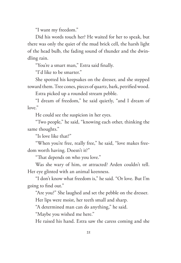"I want my freedom."

Did his words touch her? He waited for her to speak, but there was only the quiet of the mud brick cell, the harsh light of the head bulb, the fading sound of thunder and the dwindling rain.

"You're a smart man," Estra said finally.

"I'd like to be smarter."

She spotted his keepsakes on the dresser, and she stepped toward them. Tree cones, pieces of quartz, bark, petrified wood.

Estra picked up a rounded stream pebble.

"I dream of freedom," he said quietly, "and I dream of  $\log e$ "

He could see the suspicion in her eyes.

"Two people," he said, "knowing each other, thinking the same thoughts."

"Is love like that?"

"When you're free, really free," he said, "love makes freedom worth having. Doesn't it?"

"That depends on who you love."

Was she wary of him, or attracted? Arden couldn't tell. Her eye glinted with an animal keenness.

"I don't know what freedom is," he said. "Or love. But I'm going to find out."

"Are you?" She laughed and set the pebble on the dresser.

Her lips were moist, her teeth small and sharp.

"A determined man can do anything," he said.

"Maybe you wished me here."

He raised his hand. Estra saw the caress coming and she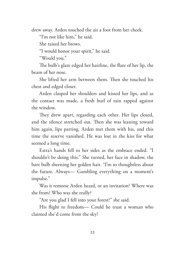drew away. Arden touched the air a foot from her cheek.

"I'm not like him," he said.

She raised her brows.

"I would honor your spirit," he said.

"Would you."

The bulb's glare edged her hairline, the flare of her lip, the beam of her nose.

She lifted her arm between them. Then she touched his chest and edged closer.

Arden clasped her shoulders and kissed her lips, and as the contact was made, a fresh hurl of rain rapped against the window.

They drew apart, regarding each other. Her lips closed, and the silence stretched out. Then she was leaning toward him again, lips parting. Arden met them with his, and this time the reserve vanished. He was lost in the kiss for what seemed a long time.

Estra's hands fell to her sides as the embrace ended. "I shouldn't be doing this." She turned, her face in shadow, the bare bulb sheening her golden hair. "I'm so thoughtless about the future. Always— Gambling everything on a moment's impulse."

Was it remorse Arden heard, or an invitation? Where was she from? Who was she really?

"Are you glad I fell into your forest?" she said.

His flight to freedom— Could he trust a woman who claimed she'd come from the sky?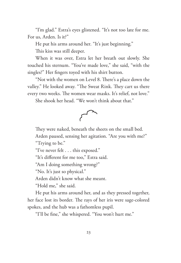"I'm glad." Estra's eyes glistened. "It's not too late for me. For us, Arden. Is it?"

He put his arms around her. "It's just beginning."

This kiss was still deeper.

When it was over, Estra let her breath out slowly. She touched his sternum. "You've made love," she said, "with the singles?" Her fingers toyed with his shirt button.

"Not with the women on Level 8. There's a place down the valley." He looked away. "The Sweat Rink. They cart us there every two weeks. The women wear masks. It's relief, not love."

She shook her head. "We won't think about that."



They were naked, beneath the sheets on the small bed.

Arden paused, sensing her agitation. "Are you with me?" "Trying to be."

"I've never felt . . . this exposed."

"It's different for me too," Estra said.

"Am I doing something wrong?"

"No. It's just so physical."

Arden didn't know what she meant.

"Hold me," she said.

He put his arms around her, and as they pressed together, her face lost its border. The rays of her iris were sage-colored spokes, and the hub was a fathomless pupil.

"I'll be fine," she whispered. "You won't hurt me."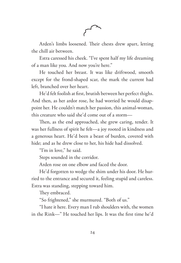Arden's limbs loosened. Their chests drew apart, letting the chill air between.

Estra caressed his cheek. "I've spent half my life dreaming of a man like you. And now you're here."

He touched her breast. It was like driftwood, smooth except for the frond-shaped scar, the mark the current had left, branched over her heart.

He'd felt foolish at first, brutish between her perfect thighs. And then, as her ardor rose, he had worried he would disappoint her. He couldn't match her passion, this animal-woman, this creature who said she'd come out of a storm—

Then, as the end approached, she grew caring, tender. It was her fullness of spirit he felt—a joy rooted in kindness and a generous heart. He'd been a beast of burden, covered with hide; and as he drew close to her, his hide had dissolved.

"I'm in love," he said.

Steps sounded in the corridor.

Arden rose on one elbow and faced the door.

He'd forgotten to wedge the shim under his door. He hurried to the entrance and secured it, feeling stupid and careless. Estra was standing, stepping toward him.

They embraced.

"So frightened," she murmured. "Both of us."

"I hate it here. Every man I rub shoulders with, the women in the Rink—" He touched her lips. It was the first time he'd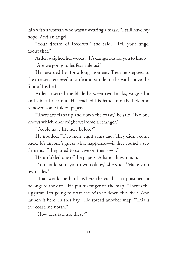lain with a woman who wasn't wearing a mask. "I still have my hope. And an angel."

"Your dream of freedom," she said. "Tell your angel about that."

Arden weighed her words. "It's dangerous for you to know." "Are we going to let fear rule us?"

He regarded her for a long moment. Then he stepped to the dresser, retrieved a knife and strode to the wall above the foot of his bed.

Arden inserted the blade between two bricks, waggled it and slid a brick out. He reached his hand into the hole and removed some folded papers.

"There are clans up and down the coast," he said. "No one knows which ones might welcome a stranger."

"People have left here before?"

He nodded. "Two men, eight years ago. They didn't come back. It's anyone's guess what happened—if they found a settlement, if they tried to survive on their own."

He unfolded one of the papers. A hand-drawn map.

"You could start your own colony," she said. "Make your own rules."

"That would be hard. Where the earth isn't poisoned, it belongs to the cats." He put his finger on the map. "There's the ziggurat. I'm going to float the *Mariod* down this river. And launch it here, in this bay." He spread another map. "This is the coastline north."

"How accurate are these?"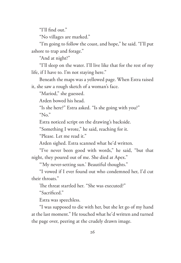"I'll find out."

"No villages are marked."

"I'm going to follow the coast, and hope," he said. "I'll put ashore to trap and forage."

"And at night?"

"I'll sleep on the water. I'll live like that for the rest of my life, if I have to. I'm not staying here."

Beneath the maps was a yellowed page. When Estra raised it, she saw a rough sketch of a woman's face.

"Mariod," she guessed.

Arden bowed his head.

"Is she here?" Estra asked. "Is she going with you?" " $No.$ "

Estra noticed script on the drawing's backside.

"Something I wrote," he said, reaching for it.

"Please. Let me read it."

Arden sighed. Estra scanned what he'd written.

"I've never been good with words," he said, "but that night, they poured out of me. She died at Apex."

"'My never-setting sun.' Beautiful thoughts."

"I vowed if I ever found out who condemned her, I'd cut their throats."

The threat startled her. "She was executed?"

"Sacrificed."

Estra was speechless.

"I was supposed to die with her, but she let go of my hand at the last moment." He touched what he'd written and turned the page over, peering at the crudely drawn image.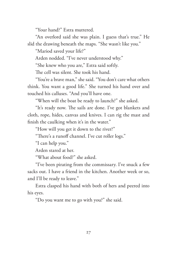"Your hand?" Estra muttered.

"An overlord said she was plain. I guess that's true." He slid the drawing beneath the maps. "She wasn't like you."

"Mariod saved your life?"

Arden nodded. "I've never understood why."

"She knew who you are," Estra said softly.

The cell was silent. She took his hand.

"You're a brave man," she said. "You don't care what others think. You want a good life." She turned his hand over and touched his calluses. "And you'll have one.

"When will the boat be ready to launch?" she asked.

"It's ready now. The sails are done. I've got blankets and cloth, rope, hides, canvas and knives. I can rig the mast and finish the caulking when it's in the water."

"How will you get it down to the river?"

"There's a runoff channel. I've cut roller logs."

"I can help you."

Arden stared at her.

"What about food?" she asked.

"I've been pirating from the commissary. I've snuck a few sacks out. I have a friend in the kitchen. Another week or so, and I'll be ready to leave."

Estra clasped his hand with both of hers and peered into his eyes.

"Do you want me to go with you?" she said.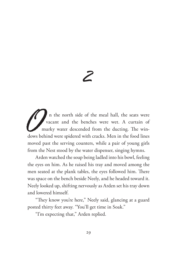*2*

n the north side of the meal hall, the seats were vacant and the benches were wet. A curtain of murky water descended from the ducting. The windows behind were spidered with cracks. Men in the food lines moved past the serving counters, while a pair of young girls from the Nest stood by the water dispenser, singing hymns. dows be<br>moved<br>from th<br>Ard

Arden watched the soup being ladled into his bowl, feeling the eyes on him. As he raised his tray and moved among the men seated at the plank tables, the eyes followed him. There was space on the bench beside Neely, and he headed toward it. Neely looked up, shifting nervously as Arden set his tray down and lowered himself.

"They know you're here," Neely said, glancing at a guard posted thirty feet away. "You'll get time in Soak."

"I'm expecting that," Arden replied.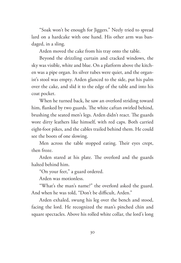"Soak won't be enough for Jiggers." Neely tried to spread lard on a hardcake with one hand. His other arm was bandaged, in a sling.

Arden moved the cake from his tray onto the table.

Beyond the drizzling curtain and cracked windows, the sky was visible, white and blue. On a platform above the kitchen was a pipe organ. Its silver tubes were quiet, and the organist's stool was empty. Arden glanced to the side, put his palm over the cake, and slid it to the edge of the table and into his coat pocket.

When he turned back, he saw an overlord striding toward him, flanked by two guards. The white caftan swirled behind, brushing the seated men's legs. Arden didn't react. The guards wore dirty leathers like himself, with red caps. Both carried eight-foot pikes, and the cables trailed behind them. He could see the boots of one slowing.

Men across the table stopped eating. Their eyes crept, then froze.

Arden stared at his plate. The overlord and the guards halted behind him.

"On your feet," a guard ordered.

Arden was motionless.

"What's the man's name?" the overlord asked the guard. And when he was told, "Don't be difficult, Arden."

Arden exhaled, swung his leg over the bench and stood, facing the lord. He recognized the man's pinched chin and square spectacles. Above his rolled white collar, the lord's long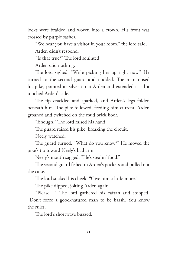locks were braided and woven into a crown. His front was crossed by purple sashes.

"We hear you have a visitor in your room," the lord said. Arden didn't respond.

"Is that true?" The lord squinted.

Arden said nothing.

The lord sighed. "We're picking her up right now." He turned to the second guard and nodded. The man raised his pike, pointed its silver tip at Arden and extended it till it touched Arden's side.

The tip crackled and sparked, and Arden's legs folded beneath him. The pike followed, feeding him current. Arden groaned and twitched on the mud brick floor.

"Enough." The lord raised his hand.

The guard raised his pike, breaking the circuit.

Neely watched.

The guard turned. "What do you know?" He moved the pike's tip toward Neely's bad arm.

Neely's mouth sagged. "He's stealin' food."

The second guard fished in Arden's pockets and pulled out the cake.

The lord sucked his cheek. "Give him a little more."

The pike dipped, jolting Arden again.

"Please—" The lord gathered his caftan and stooped. "Don't force a good-natured man to be harsh. You know the rules."

The lord's shortwave buzzed.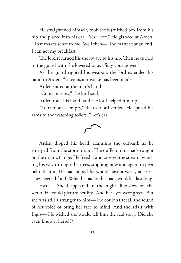He straightened himself, took the burnished box from his hip and placed it to his ear. "Yes? I see." He glanced at Arden. "That makes sense to me. Well then— The matter's at an end. I can get my breakfast."

The lord returned his shortwave to his hip. Then he turned to the guard with the lowered pike. "Stay your power."

As the guard righted his weapon, the lord extended his hand to Arden. "It seems a mistake has been made."

Arden stared at the man's hand.

"Come on now," the lord said.

Arden took his hand, and the lord helped him up.

"Your room is empty," the overlord smiled. He spread his arms to the watching toilers. "Let's eat."

سمسلم

Arden dipped his head, scanning the cutbank as he emerged from the storm drain. The duffel on his back caught on the drain's flange. He freed it and crossed the stream, winding his way through the trees, stopping now and again to peer behind him. He had hoped he would have a week, at least. They needed food. What he had on his back wouldn't last long.

Estra— She'd appeared in the night, like dew on the scrub. He could picture her lips. And her eyes were green. But she was still a stranger to him— He couldn't recall the sound of her voice or bring her face to mind. And the affair with Ingis— He wished she would tell him the real story. Did she even know it herself?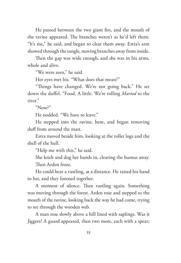He passed between the two giant firs, and the mouth of the ravine appeared. The branches weren't as he'd left them. "It's me," he said, and began to clear them away. Estra's arm showed through the tangle, moving branches away from inside.

Then the gap was wide enough, and she was in his arms, whole and alive.

"We were seen," he said.

Her eyes met his. "What does that mean?"

"Things have changed. We're not going back." He set down the duffel. "Food. A little. We're rolling *Mariod* to the river."

 $N_{\rm OW}$ <sup>"</sup>

He nodded. "We have to leave."

He stepped into the ravine, bent, and began removing duff from around the mast.

Estra moved beside him, looking at the roller logs and the shell of the hull.

"Help me with this," he said.

She knelt and dug her hands in, clearing the humus away. Then Arden froze.

He could hear a rustling, at a distance. He raised his hand to her, and they listened together.

A moment of silence. Then rustling again. Something was moving through the forest. Arden rose and stepped to the mouth of the ravine, looking back the way he had come, trying to see through the wooden web.

A man rose slowly above a hill lined with saplings. Was it Jiggers? A guard appeared, then two more, each with a spear;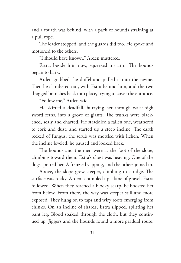and a fourth was behind, with a pack of hounds straining at a pull rope.

The leader stopped, and the guards did too. He spoke and motioned to the others.

"I should have known," Arden muttered.

Estra, beside him now, squeezed his arm. The hounds began to bark.

Arden grabbed the duffel and pulled it into the ravine. Then he clambered out, with Estra behind him, and the two dragged branches back into place, trying to cover the entrance.

"Follow me," Arden said.

He skirted a deadfall, hurrying her through waist-high sword ferns, into a grove of giants. The trunks were blackened, scaly and charred. He straddled a fallen one, weathered to cork and dust, and started up a steep incline. The earth reeked of fungus, the scrub was mottled with lichen. When the incline leveled, he paused and looked back.

The hounds and the men were at the foot of the slope, climbing toward them. Estra's chest was heaving. One of the dogs spotted her. A frenzied yapping, and the others joined in.

Above, the slope grew steeper, climbing to a ridge. The surface was rocky. Arden scrambled up a lane of gravel. Estra followed. When they reached a blocky scarp, he boosted her from below. From there, the way was steeper still and more exposed. They hung on to taps and wiry roots emerging from chinks. On an incline of shards, Estra slipped, splitting her pant leg. Blood soaked through the cloth, but they continued up. Jiggers and the hounds found a more gradual route,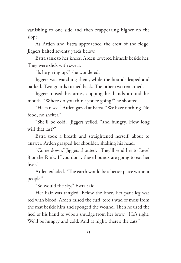vanishing to one side and then reappearing higher on the slope.

As Arden and Estra approached the crest of the ridge, Jiggers halted seventy yards below.

Estra sank to her knees. Arden lowered himself beside her. They were slick with sweat.

"Is he giving up?" she wondered.

Jiggers was watching them, while the hounds leaped and barked. Two guards turned back. The other two remained.

Jiggers raised his arms, cupping his hands around his mouth. "Where do you think you're going?" he shouted.

"He can see," Arden gazed at Estra. "We have nothing. No food, no shelter."

"She'll be cold," Jiggers yelled, "and hungry. How long will that last?"

Estra took a breath and straightened herself, about to answer. Arden grasped her shoulder, shaking his head.

"Come down," Jiggers shouted. "They'll send her to Level 8 or the Rink. If you don't, these hounds are going to eat her liver."

Arden exhaled. "The earth would be a better place without people."

"So would the sky," Estra said.

Her hair was tangled. Below the knee, her pant leg was red with blood. Arden raised the cuff, tore a wad of moss from the mat beside him and sponged the wound. Then he used the heel of his hand to wipe a smudge from her brow. "He's right. We'll be hungry and cold. And at night, there's the cats."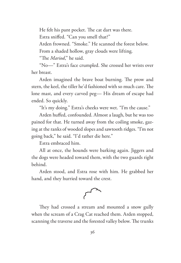He felt his pant pocket. The cat dart was there.

Estra sniffed. "Can you smell that?"

Arden frowned. "Smoke." He scanned the forest below.

From a shaded hollow, gray clouds were lifting.

"The *Mariod*," he said.

"No—" Estra's face crumpled. She crossed her wrists over her breast.

Arden imagined the brave boat burning. The prow and stern, the keel, the tiller he'd fashioned with so much care. The lone mast, and every carved peg— His dream of escape had ended. So quickly.

"It's my doing." Estra's cheeks were wet. "I'm the cause."

Arden huffed, confounded. Almost a laugh, but he was too pained for that. He turned away from the coiling smoke, gazing at the ranks of wooded slopes and sawtooth ridges. "I'm not going back," he said. "I'd rather die here."

Estra embraced him.

All at once, the hounds were barking again. Jiggers and the dogs were headed toward them, with the two guards right behind.

Arden stood, and Estra rose with him. He grabbed her hand, and they hurried toward the crest.

تهويهم

They had crossed a stream and mounted a snow gully when the scream of a Crag Cat reached them. Arden stopped, scanning the traverse and the forested valley below. The trunks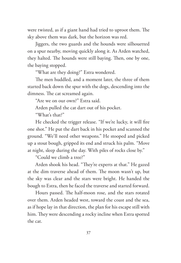were twisted, as if a giant hand had tried to uproot them. The sky above them was dark, but the horizon was red.

Jiggers, the two guards and the hounds were silhouetted on a spur nearby, moving quickly along it. As Arden watched, they halted. The hounds were still baying. Then, one by one, the baying stopped.

"What are they doing?" Estra wondered.

The men huddled, and a moment later, the three of them started back down the spur with the dogs, descending into the dimness. The cat screamed again.

"Are we on our own?" Estra said.

Arden pulled the cat dart out of his pocket.

"What's that?"

He checked the trigger release. "If we're lucky, it will fire one shot." He put the dart back in his pocket and scanned the ground. "We'll need other weapons." He stooped and picked up a stout bough, gripped its end and struck his palm. "Move at night, sleep during the day. With piles of rocks close by."

"Could we climb a tree?"

Arden shook his head. "They're experts at that." He gazed at the dim traverse ahead of them. The moon wasn't up, but the sky was clear and the stars were bright. He handed the bough to Estra, then he faced the traverse and started forward.

Hours passed. The half-moon rose, and the stars rotated over them. Arden headed west, toward the coast and the sea, as if hope lay in that direction, the plan for his escape still with him. They were descending a rocky incline when Estra spotted the cat.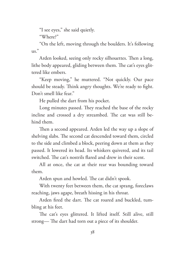"I see eyes," she said quietly.

"Where?"

"On the left, moving through the boulders. It's following us."

Arden looked, seeing only rocky silhouettes. Then a long, lithe body appeared, gliding between them. The cat's eyes glittered like embers.

"Keep moving," he muttered. "Not quickly. Our pace should be steady. Think angry thoughts. We're ready to fight. Don't smell like fear."

He pulled the dart from his pocket.

Long minutes passed. They reached the base of the rocky incline and crossed a dry streambed. The cat was still behind them.

Then a second appeared. Arden led the way up a slope of shelving slabs. The second cat descended toward them, circled to the side and climbed a block, peering down at them as they passed. It lowered its head. Its whiskers quivered, and its tail switched. The cat's nostrils flared and drew in their scent.

All at once, the cat at their rear was bounding toward them.

Arden spun and howled. The cat didn't spook.

With twenty feet between them, the cat sprang, foreclaws reaching, jaws agape, breath hissing in his throat.

Arden fired the dart. The cat roared and buckled, tumbling at his feet.

The cat's eyes glittered. It lifted itself. Still alive, still strong— The dart had torn out a piece of its shoulder.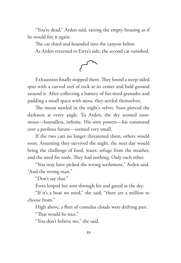"You're dead," Arden said, raising the empty housing as if he would fire it again.

The cat shied and bounded into the canyon below.

As Arden returned to Estra's side, the second cat vanished.



Exhaustion finally stopped them. They found a steep-sided spur with a curved reef of rock at its center and bald ground around it. After collecting a battery of fist-sized grenades and padding a small space with moss, they settled themselves.

The moon nestled in the night's velvet. Stars pierced the darkness at every angle. To Arden, the sky seemed enormous—boundless, infinite. His own powers—his command over a perilous future—seemed very small.

If the two cats no longer threatened them, others would soon. Assuming they survived the night, the next day would bring the challenge of food, water, refuge from the weather, and the need for tools. They had nothing. Only each other.

"You may have picked the wrong settlement," Arden said. "And the wrong man."

"Don't say that."

Estra looped her arm through his and gazed at the sky.

"If it's a boat we need," she said, "there are a million to choose from."

High above, a fleet of cumulus clouds were drifting past. "That would be nice."

"You don't believe me," she said.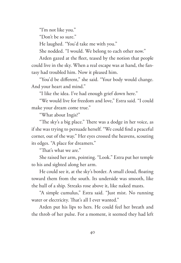"I'm not like you."

"Don't be so sure."

He laughed. "You'd take me with you."

She nodded. "I would. We belong to each other now."

Arden gazed at the fleet, teased by the notion that people could live in the sky. When a real escape was at hand, the fantasy had troubled him. Now it pleased him.

"You'd be different," she said. "Your body would change. And your heart and mind."

"I like the idea. I've had enough grief down here."

"We would live for freedom and love," Estra said. "I could make your dream come true."

"What about Ingis?"

"The sky's a big place." There was a dodge in her voice, as if she was trying to persuade herself. "We could find a peaceful corner, out of the way." Her eyes crossed the heavens, scouting its edges. "A place for dreamers."

"That's what we are."

She raised her arm, pointing. "Look." Estra put her temple to his and sighted along her arm.

He could see it, at the sky's border. A small cloud, floating toward them from the south. Its underside was smooth, like the hull of a ship. Streaks rose above it, like naked masts.

"A simple cumulus," Estra said. "Just mist. No running water or electricity. That's all I ever wanted."

Arden put his lips to hers. He could feel her breath and the throb of her pulse. For a moment, it seemed they had left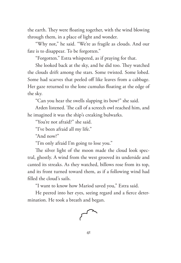the earth. They were floating together, with the wind blowing through them, in a place of light and wonder.

"Why not," he said. "We're as fragile as clouds. And our fate is to disappear. To be forgotten."

"Forgotten." Estra whispered, as if praying for that.

She looked back at the sky, and he did too. They watched the clouds drift among the stars. Some twisted. Some lobed. Some had scarves that peeled off like leaves from a cabbage. Her gaze returned to the lone cumulus floating at the edge of the sky.

"Can you hear the swells slapping its bow?" she said.

Arden listened. The call of a screech owl reached him, and he imagined it was the ship's creaking bulwarks.

"You're not afraid?" she said.

"I've been afraid all my life."

"And now?"

"I'm only afraid I'm going to lose you."

The silver light of the moon made the cloud look spectral, ghostly. A wind from the west grooved its underside and canted its streaks. As they watched, billows rose from its top, and its front turned toward them, as if a following wind had filled the cloud's sails.

"I want to know how Mariod saved you," Estra said.

He peered into her eyes, seeing regard and a fierce determination. He took a breath and began.

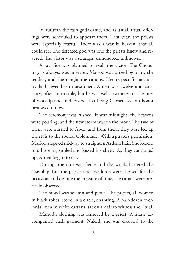In autumn the rain gods came, and as usual, ritual offerings were scheduled to appease them. That year, the priests were especially fearful. There was a war in heaven, that all could see. The defeated god was one the priests knew and revered. The victor was a stranger, unhonored, unknown.

A sacrifice was planned to exalt the victor. The Choosing, as always, was in secret. Mariod was prized by many she tended, and she taught the canons. Her respect for authority had never been questioned. Arden was twelve and contrary, often in trouble, but he was well-instructed in the rites of worship and understood that being Chosen was an honor bestowed on few.

The ceremony was rushed. It was midnight, the heavens were pouring, and the new storm was on the move. The two of them were hurried to Apex, and from there, they were led up the stair to the roofed Colonnade. With a guard's permission, Mariod stopped midway to straighten Arden's hair. She looked into his eyes, smiled and kissed his cheek. As they continued up, Arden began to cry.

On top, the rain was fierce and the winds battered the assembly. But the priests and overlords were dressed for the occasion; and despite the pressure of time, the rituals were precisely observed.

The mood was solemn and pious. The priests, all women in black robes, stood in a circle, chanting. A half-dozen overlords, men in white caftans, sat on a dais to witness the ritual.

Mariod's clothing was removed by a priest. A litany accompanied each garment. Naked, she was escorted to the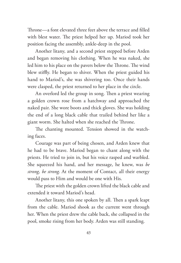Throne—a font elevated three feet above the terrace and filled with blest water. The priest helped her up. Mariod took her position facing the assembly, ankle-deep in the pool.

Another litany, and a second priest stepped before Arden and began removing his clothing. When he was naked, she led him to his place on the pavers below the Throne. The wind blew stiffly. He began to shiver. When the priest guided his hand to Mariod's, she was shivering too. Once their hands were clasped, the priest returned to her place in the circle.

An overlord led the group in song. Then a priest wearing a golden crown rose from a hatchway and approached the naked pair. She wore boots and thick gloves. She was holding the end of a long black cable that trailed behind her like a giant worm. She halted when she reached the Throne.

The chanting mounted. Tension showed in the watching faces.

Courage was part of being chosen, and Arden knew that he had to be brave. Mariod began to chant along with the priests. He tried to join in, but his voice rasped and warbled. She squeezed his hand, and her message, he knew, was *be strong, be strong*. At the moment of Contact, all their energy would pass to Him and would be one with His.

The priest with the golden crown lifted the black cable and extended it toward Mariod's head.

Another litany, this one spoken by all. Then a spark leapt from the cable. Mariod shook as the current went through her. When the priest drew the cable back, she collapsed in the pool, smoke rising from her body. Arden was still standing.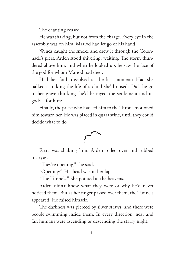The chanting ceased.

He was shaking, but not from the charge. Every eye in the assembly was on him. Mariod had let go of his hand.

Winds caught the smoke and drew it through the Colonnade's piers. Arden stood shivering, waiting. The storm thundered above him, and when he looked up, he saw the face of the god for whom Mariod had died.

Had her faith dissolved at the last moment? Had she balked at taking the life of a child she'd raised? Did she go to her grave thinking she'd betrayed the settlement and its gods—for him?

Finally, the priest who had led him to the Throne motioned him toward her. He was placed in quarantine, until they could decide what to do.



Estra was shaking him. Arden rolled over and rubbed his eyes.

"They're opening," she said.

"Opening?" His head was in her lap.

"The Tunnels." She pointed at the heavens.

Arden didn't know what they were or why he'd never noticed them. But as her finger passed over them, the Tunnels appeared. He raised himself.

The darkness was pierced by silver straws, and there were people swimming inside them. In every direction, near and far, humans were ascending or descending the starry night.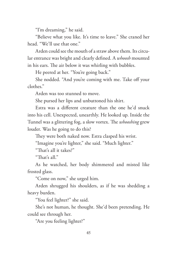"I'm dreaming," he said.

"Believe what you like. It's time to leave." She craned her head. "We'll use that one."

Arden could see the mouth of a straw above them. Its circular entrance was bright and clearly defined. A *whoosh* mounted in his ears. The air below it was whirling with bubbles.

He peered at her. "You're going back."

She nodded. "And you're coming with me. Take off your clothes."

Arden was too stunned to move.

She pursed her lips and unbuttoned his shirt.

Estra was a different creature than the one he'd snuck into his cell. Unexpected, unearthly. He looked up. Inside the Tunnel was a glittering fog, a slow vortex. The *whooshing* grew louder. Was he going to do this?

They were both naked now. Estra clasped his wrist.

"Imagine you're lighter," she said. "Much lighter."

"That's all it takes?"

"That's all."

As he watched, her body shimmered and misted like frosted glass.

"Come on now," she urged him.

Arden shrugged his shoulders, as if he was shedding a heavy burden.

"You feel lighter?" she said.

She's not human, he thought. She'd been pretending. He could see through her.

"Are you feeling lighter?"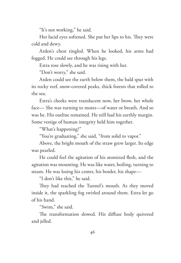"It's not working," he said.

Her lucid eyes softened. She put her lips to his. They were cold and dewy.

Arden's chest tingled. When he looked, his arms had fogged. He could see through his legs.

Estra rose slowly, and he was rising with her.

"Don't worry," she said.

Arden could see the earth below them, the bald spur with its rocky reef, snow-covered peaks, thick forests that rolled to the sea.

Estra's cheeks were translucent now, her brow, her whole face— She was turning to motes—of water or breath. And so was he. His outline remained. He still had his earthly margin. Some vestige of human integrity held him together.

"What's happening?"

"You're graduating," she said, "from solid to vapor."

Above, the bright mouth of the straw grew larger. Its edge was pearled.

He could feel the agitation of his atomized flesh, and the agitation was mounting. He was like water, boiling, turning to steam. He was losing his center, his border, his shape—

"I don't like this," he said.

They had reached the Tunnel's mouth. As they moved inside it, the sparkling fog swirled around them. Estra let go of his hand.

"Swim," she said.

The transformation slowed. His diffuse body quivered and jelled.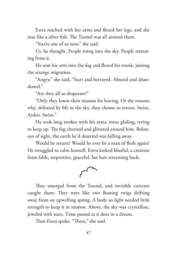Estra reached with her arms and flexed her legs, and she rose like a silver fish. The Tunnel was all around them.

"You're one of us now," she said.

Us, he thought. People rising into the sky. People retreating from it.

He sent his arm into the fog and flexed his trunk, joining the strange migration.

"Angry," she said, "hurt and betrayed. Abused and abandoned."

"Are they all so desperate?"

"Only they know their reasons for leaving. Or the reasons why, defeated by life in the sky, they choose to return. Swim, Arden. Swim."

He took long strokes with his arms, torso gliding, trying to keep up. The fog churned and glittered around him. Below, out of sight, the earth he'd deserted was falling away.

Would he return? Would he ever be a man of flesh again? He struggled to calm himself. Estra looked blissful, a creature from fable, serpentine, graceful, her hair streaming back.

موسلى

They emerged from the Tunnel, and invisible currents caught them. They were like two floating twigs drifting away from an upwelling spring. A body so light needed little strength to keep it in motion. Above, the sky was crystalline, jeweled with stars. Time passed as it does in a dream.

Then Estra spoke. "There," she said.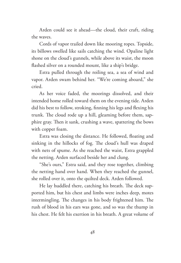Arden could see it ahead—the cloud, their craft, riding the waves.

Cords of vapor trailed down like mooring ropes. Topside, its billows swelled like sails catching the wind. Opaline light shone on the cloud's gunnels, while above its waist, the moon flashed silver on a rounded mount, like a ship's bridge.

Estra pulled through the roiling sea, a sea of wind and vapor. Arden swam behind her. "We're coming aboard," she cried.

As her voice faded, the moorings dissolved, and their intended home rolled toward them on the evening tide. Arden did his best to follow, stroking, finning his legs and flexing his trunk. The cloud rode up a hill, gleaming before them, sapphire gray. Then it sank, crushing a wave, spattering the bows with copper foam.

Estra was closing the distance. He followed, floating and sinking in the hillocks of fog. The cloud's hull was draped with nets of spume. As she reached the waist, Estra grappled the netting. Arden surfaced beside her and clung.

"She's ours," Estra said, and they rose together, climbing the netting hand over hand. When they reached the gunnel, she rolled over it, onto the quilted deck. Arden followed.

He lay huddled there, catching his breath. The deck supported him, but his chest and limbs were inches deep, motes intermingling. The changes in his body frightened him. The rush of blood in his ears was gone, and so was the thump in his chest. He felt his exertion in his breath. A great volume of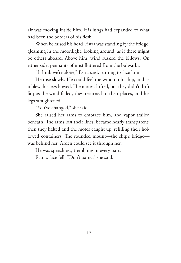air was moving inside him. His lungs had expanded to what had been the borders of his flesh.

When he raised his head, Estra was standing by the bridge, gleaming in the moonlight, looking around, as if there might be others aboard. Above him, wind rusked the billows. On either side, pennants of mist fluttered from the bulwarks.

"I think we're alone," Estra said, turning to face him.

He rose slowly. He could feel the wind on his hip, and as it blew, his legs bowed. The motes shifted, but they didn't drift far; as the wind faded, they returned to their places, and his legs straightened.

"You've changed," she said.

She raised her arms to embrace him, and vapor trailed beneath. The arms lost their lines, became nearly transparent; then they halted and the motes caught up, refilling their hollowed containers. The rounded mount—the ship's bridge was behind her. Arden could see it through her.

He was speechless, trembling in every part. Estra's face fell. "Don't panic," she said.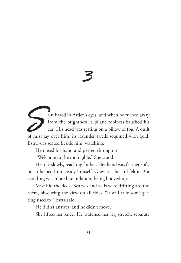*3*

un flared in Arden's eyes, and when he turned away from the brightness, a pliant coolness brushed his ear. His head was resting on a pillow of fog. A quilt of mist lay over him, its lavender swells sequined with gold. Estra was seated beside him, watching. *S*

He raised his hand and peered through it.

"Welcome to the intangible." She stood.

He rose slowly, reaching for her. Her hand was feather-soft, but it helped him steady himself. Gravity—he still felt it. But standing was more like inflation, being buoyed up.

Mist hid the deck. Scarves and veils were drifting around them, obscuring the view on all sides. "It will take some getting used to," Estra said.

He didn't answer, and he didn't move.

She lifted her knee. He watched her leg stretch, separate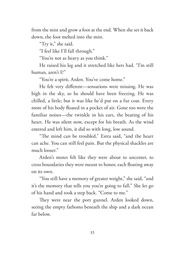from the mist and grow a foot at the end. When she set it back down, the foot melted into the mist.

"Try it," she said.

"I feel like I'll fall through."

"You're not as heavy as you think."

He raised his leg and it stretched like hers had. "I'm still human, aren't I?"

"You're a spirit, Arden. You've come home."

He felt very different—sensations were missing. He was high in the sky, so he should have been freezing. He was chilled, a little; but it was like he'd put on a fur coat. Every mote of his body floated in a pocket of air. Gone too were the familiar noises—the twinkle in his ears, the beating of his heart. He was silent now, except for his breath. As the wind entered and left him, it did so with long, low sound.

"The mind can be troubled," Estra said, "and the heart can ache. You can still feel pain. But the physical shackles are much looser."

Arden's motes felt like they were about to uncenter, to cross boundaries they were meant to honor, each floating away on its own.

"You still have a memory of greater weight," she said, "and it's the memory that tells you you're going to fall." She let go of his hand and took a step back. "Come to me."

They were near the port gunnel. Arden looked down, seeing the empty fathoms beneath the ship and a dark ocean far below.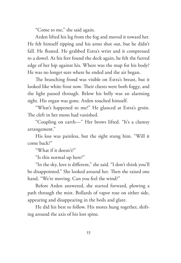"Come to me," she said again.

Arden lifted his leg from the fog and moved it toward her. He felt himself tipping and his arms shot out, but he didn't fall. He floated. He grabbed Estra's wrist and it compressed to a dowel. As his feet found the deck again, he felt the furred edge of her hip against his. Where was the map for his body? He was no longer sure where he ended and the air began.

The branching frond was visible on Estra's breast, but it looked like white frost now. Their chests were both foggy, and the light passed through. Below his belly was an alarming sight. His organ was gone. Arden touched himself.

"What's happened to me?" He glanced at Estra's groin. The cleft in her mons had vanished.

"Coupling on earth—" Her brows lifted. "It's a clumsy arrangement."

His loss was painless, but the sight stung him. "Will it come back?"

"What if it doesn't?"

"Is this normal up here?"

"In the sky, love is different," she said. "I don't think you'll be disappointed." She looked around her. Then she raised one hand. "We're moving. Can you feel the wind?"

Before Arden answered, she started forward, plowing a path through the mist. Bollards of vapor rose on either side, appearing and disappearing in the boils and glare.

He did his best to follow. His motes hung together, shifting around the axis of his lost spine.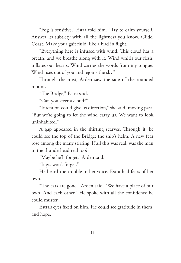"Fog is sensitive," Estra told him. "Try to calm yourself. Answer its subtlety with all the lightness you know. Glide. Coast. Make your gait fluid, like a bird in flight.

"Everything here is infused with wind. This cloud has a breath, and we breathe along with it. Wind whirls our flesh, inflates our hearts. Wind carries the words from my tongue. Wind rises out of you and rejoins the sky."

Through the mist, Arden saw the side of the rounded mount.

"The Bridge," Estra said.

"Can you steer a cloud?"

"Intention could give us direction," she said, moving past. "But we're going to let the wind carry us. We want to look uninhabited."

A gap appeared in the shifting scarves. Through it, he could see the top of the Bridge: the ship's helm. A new fear rose among the many stirring. If all this was real, was the man in the thunderhead real too?

"Maybe he'll forget," Arden said.

"Ingis won't forget."

He heard the trouble in her voice. Estra had fears of her own.

"The cats are gone," Arden said. "We have a place of our own. And each other." He spoke with all the confidence he could muster.

Estra's eyes fixed on him. He could see gratitude in them, and hope.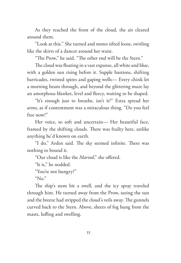As they reached the front of the cloud, the air cleared around them.

"Look at this." She turned and motes sifted loose, swirling like the skirts of a dancer around her waist.

"The Prow," he said. "The other end will be the Stern."

The cloud was floating in a vast expanse, all white and blue, with a golden sun rising before it. Supple bastions, shifting barricades, twisted spires and gaping wells— Every chink let a morning beam through, and beyond the glittering maze lay an amorphous blanket, level and fleecy, waiting to be shaped.

"It's enough just to breathe, isn't it?" Estra spread her arms, as if contentment was a miraculous thing. "Do you feel free now?"

Her voice, so soft and uncertain— Her beautiful face, framed by the shifting clouds. There was frailty here, unlike anything he'd known on earth.

"I do," Arden said. The sky seemed infinite. There was nothing to bound it.

"Our cloud is like the *Mariod*," she offered.

"It is," he nodded.

"You're not hungry?"

" $No.$ "

The ship's stem hit a swell, and the icy spray traveled through him. He turned away from the Prow, seeing the sun and the breeze had stripped the cloud's veils away. The gunnels curved back to the Stern. Above, sheets of fog hung from the masts, luffing and swelling.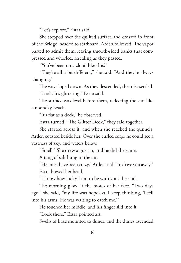"Let's explore," Estra said.

She stepped over the quilted surface and crossed in front of the Bridge, headed to starboard. Arden followed. The vapor parted to admit them, leaving smooth-sided banks that compressed and whorled, resealing as they passed.

"You've been on a cloud like this?"

"They're all a bit different," she said. "And they're always changing."

The way sloped down. As they descended, the mist settled. "Look. It's glittering," Estra said.

The surface was level before them, reflecting the sun like a noonday beach.

"It's flat as a deck," he observed.

Estra turned. "The Glitter Deck," they said together.

She started across it, and when she reached the gunnels,

Arden coasted beside her. Over the curled edge, he could see a vastness of sky, and waters below.

"Smell." She drew a gust in, and he did the same.

A tang of salt hung in the air.

"He must have been crazy," Arden said, "to drive you away." Estra bowed her head.

"I know how lucky I am to be with you," he said.

The morning glow lit the motes of her face. "Two days ago," she said, "my life was hopeless. I keep thinking, 'I fell into his arms. He was waiting to catch me.'"

He touched her middle, and his finger slid into it.

"Look there." Estra pointed aft.

Swells of haze mounted to dunes, and the dunes ascended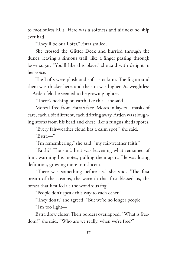to motionless hills. Here was a softness and airiness no ship ever had.

"They'll be our Lofts." Estra smiled.

She crossed the Glitter Deck and hurried through the dunes, leaving a sinuous trail, like a finger passing through loose sugar. "You'll like this place," she said with delight in her voice.

The Lofts were plush and soft as oakum. The fog around them was thicker here, and the sun was higher. As weightless as Arden felt, he seemed to be growing lighter.

"There's nothing on earth like this," she said.

Motes lifted from Estra's face. Motes in layers—masks of care, each a bit different, each drifting away. Arden was sloughing atoms from his head and chest, like a fungus sheds spores.

"Every fair-weather cloud has a calm spot," she said.

"Estra—"

"I'm remembering," she said, "my fair-weather faith."

"Faith?" The sun's heat was leavening what remained of him, warming his motes, pulling them apart. He was losing definition, growing more translucent.

"There was something before us," she said. "The first breath of the cosmos, the warmth that first blessed us, the breast that first fed us the wondrous fog."

"People don't speak this way to each other."

"They don't," she agreed. "But we're no longer people."

"I'm too light—"

Estra drew closer. Their borders overlapped. "What is freedom?" she said. "Who are we really, when we're free?"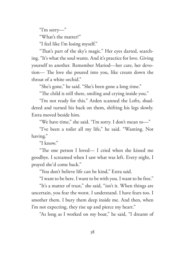"I'm sorry—" "What's the matter?" "I feel like I'm losing myself."

"That's part of the sky's magic." Her eyes darted, searching. "It's what the soul wants. And it's practice for love. Giving yourself to another. Remember Mariod—her care, her devotion— The love she poured into you, like cream down the throat of a white orchid."

"She's gone," he said. "She's been gone a long time."

"The child is still there, smiling and crying inside you."

"I'm not ready for this." Arden scanned the Lofts, shuddered and turned his back on them, shifting his legs slowly. Estra moved beside him.

"We have time," she said. "I'm sorry. I don't mean to—"

"I've been a toiler all my life," he said. "Wanting. Not having."

"I know."

"The one person I loved— I cried when she kissed me goodbye. I screamed when I saw what was left. Every night, I prayed she'd come back."

"You don't believe life can be kind," Estra said.

"I want to be here. I want to be with you. I want to be free."

"It's a matter of trust," she said, "isn't it. When things are uncertain, you fear the worst. I understand. I have fears too. I smother them. I bury them deep inside me. And then, when I'm not expecting, they rise up and pierce my heart."

"As long as I worked on my boat," he said, "I dreamt of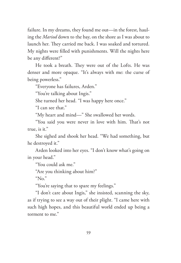failure. In my dreams, they found me out—in the forest, hauling the *Mariod* down to the bay, on the shore as I was about to launch her. They carried me back. I was soaked and tortured. My nights were filled with punishments. Will the nights here be any different?"

He took a breath. They were out of the Lofts. He was denser and more opaque. "It's always with me: the curse of being powerless."

"Everyone has failures, Arden."

"You're talking about Ingis."

She turned her head. "I was happy here once."

"I can see that."

"My heart and mind—" She swallowed her words.

"You said you were never in love with him. That's not true, is it."

She sighed and shook her head. "We had something, but he destroyed it."

Arden looked into her eyes. "I don't know what's going on in your head."

"You could ask me."

"Are you thinking about him?"

" $No.$ "

"You're saying that to spare my feelings."

"I don't care about Ingis," she insisted, scanning the sky, as if trying to see a way out of their plight. "I came here with such high hopes, and this beautiful world ended up being a torment to me."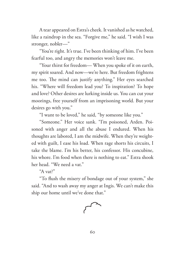A tear appeared on Estra's cheek. It vanished as he watched, like a raindrop in the sea. "Forgive me," he said. "I wish I was stronger, nobler—"

"You're right. It's true. I've been thinking of him. I've been fearful too, and angry the memories won't leave me.

"Your thirst for freedom— When you spoke of it on earth, my spirit soared. And now—we're here. But freedom frightens me too. The mind can justify anything." Her eyes searched his. "Where will freedom lead you? To inspiration? To hope and love? Other desires are lurking inside us. You can cut your moorings, free yourself from an imprisoning world. But your desires go with you."

"I want to be loved," he said, "by someone like you."

"Someone." Her voice sank. "I'm poisoned, Arden. Poisoned with anger and all the abuse I endured. When his thoughts are labored, I am the midwife. When they're weighted with guilt, I ease his load. When rage shorts his circuits, I take the blame. I'm his better, his confessor. His concubine, his whore. I'm food when there is nothing to eat." Estra shook her head. "We need a vat."

"A vat?"

"To flush the misery of bondage out of your system," she said. "And to wash away my anger at Ingis. We can't make this ship our home until we've done that."

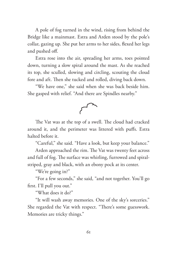A pole of fog turned in the wind, rising from behind the Bridge like a mainmast. Estra and Arden stood by the pole's collar, gazing up. She put her arms to her sides, flexed her legs and pushed off.

Estra rose into the air, spreading her arms, toes pointed down, turning a slow spiral around the mast. As she reached its top, she sculled, slowing and circling, scouting the cloud fore and aft. Then she tucked and rolled, diving back down.

"We have one," she said when she was back beside him. She gasped with relief. "And there are Spindles nearby."



The Vat was at the top of a swell. The cloud had cracked around it, and the perimeter was littered with puffs. Estra halted before it.

"Careful," she said. "Have a look, but keep your balance."

Arden approached the rim. The Vat was twenty feet across and full of fog. The surface was whirling, furrowed and spiralstriped, gray and black, with an ebony pock at its center.

"We're going in?"

"For a few seconds," she said, "and not together. You'll go first. I'll pull you out."

"What does it do?"

"It will wash away memories. One of the sky's sorceries." She regarded the Vat with respect. "There's some guesswork. Memories are tricky things."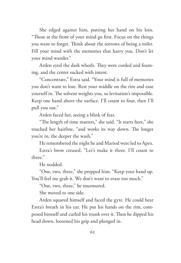She edged against him, putting her hand on his loin. "Those at the front of your mind go first. Focus on the things you want to forget. Think about the sorrows of being a toiler. Fill your mind with the memories that harry you. Don't let your mind wander."

Arden eyed the dark whorls. They were corded and foaming, and the center sucked with intent.

"Concentrate," Estra said. "Your mind is full of memories you don't want to lose. Rest your middle on the rim and ease yourself in. The solvent weights you, so levitation's impossible. Keep one hand above the surface. I'll count to four, then I'll pull you out."

Arden faced her, seeing a blink of fear.

"The length of time matters," she said. "It starts here," she touched her hairline, "and works its way down. The longer you're in, the deeper the wash."

He remembered the night he and Mariod were led to Apex.

Estra's brow creased. "Let's make it three. I'll count to three."

He nodded.

"One, two, three," she prepped him. "Keep your hand up. You'll feel me grab it. We don't want to erase too much."

"One, two, three," he murmured.

She moved to one side.

Arden squared himself and faced the gyre. He could hear Estra's breath in his ear. He put his hands on the rim, composed himself and curled his trunk over it. Then he dipped his head down, loosened his grip and plunged in.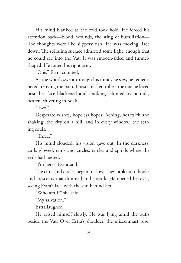His mind blanked as the cold took hold. He forced his attention back—blood, wounds, the sting of humiliation— The thoughts were like slippery fish. He was moving, face down. The spiraling surface admitted some light, enough that he could see into the Vat. It was smooth-sided and funnelshaped. He raised his right arm.

"One," Estra counted.

As the whorls swept through his mind, he saw, he remembered, reliving the pain. Priests in their robes; the one he loved best, her face blackened and smoking. Hunted by hounds, beaten, shivering in Soak.

"Two."

Desperate wishes, hopeless hopes. Aching, heartsick and shaking; the city on a hill, and in every window, the staring souls.

"Three."

His mind clouded, his vision gave out. In the darkness, curls glowed, curls and circles, circles and spirals where the evils had nested.

"I'm here," Estra said.

The curls and circles began to slow. They broke into hooks and crescents that dimmed and shrank. He opened his eyes, seeing Estra's face with the sun behind her.

"Who am I?" she said.

"My salvation."

Estra laughed.

He raised himself slowly. He was lying amid the puffs beside the Vat. Over Estra's shoulder, the mizzenmast rose,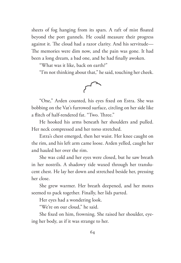sheets of fog hanging from its spars. A raft of mist floated beyond the port gunnels. He could measure their progress against it. The cloud had a razor clarity. And his servitude— The memories were dim now, and the pain was gone. It had been a long dream, a bad one, and he had finally awoken.

"What was it like, back on earth?"

"I'm not thinking about that," he said, touching her cheek.



"One," Arden counted, his eyes fixed on Estra. She was bobbing on the Vat's furrowed surface, circling on her side like a flitch of half-rendered fat. "Two. Three."

He hooked his arms beneath her shoulders and pulled. Her neck compressed and her torso stretched.

Estra's chest emerged, then her waist. Her knee caught on the rim, and his left arm came loose. Arden yelled, caught her and hauled her over the rim.

She was cold and her eyes were closed, but he saw breath in her nostrils. A shadowy tide waxed through her translucent chest. He lay her down and stretched beside her, pressing her close.

She grew warmer. Her breath deepened, and her motes seemed to pack together. Finally, her lids parted.

Her eyes had a wondering look.

"We're on our cloud," he said.

She fixed on him, frowning. She raised her shoulder, eyeing her body, as if it was strange to her.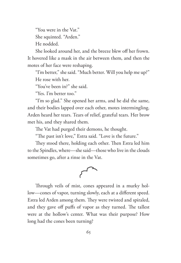"You were in the Vat." She squinted. "Arden." He nodded.

She looked around her, and the breeze blew off her frown. It hovered like a mask in the air between them, and then the motes of her face were reshaping.

"I'm better," she said. "Much better. Will you help me up?" He rose with her.

"You've been in?" she said.

"Yes. I'm better too."

"I'm so glad." She opened her arms, and he did the same, and their bodies lapped over each other, motes intermingling. Arden heard her tears. Tears of relief, grateful tears. Her brow met his, and they shared them.

The Vat had purged their demons, he thought.

"The past isn't love," Estra said. "Love is the future."

They stood there, holding each other. Then Estra led him to the Spindles, where—she said—those who live in the clouds sometimes go, after a rinse in the Vat.

موسلى

Through veils of mist, cones appeared in a murky hollow—cones of vapor, turning slowly, each at a different speed. Estra led Arden among them. They were twisted and spiraled, and they gave off puffs of vapor as they turned. The tallest were at the hollow's center. What was their purpose? How long had the cones been turning?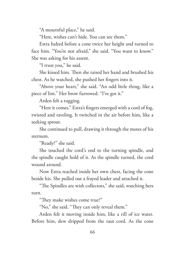"A mournful place," he said.

"Here, wishes can't hide. You can see them."

Estra halted before a cone twice her height and turned to face him. "You're not afraid," she said. "You want to know." She was asking for his assent.

"I trust you," he said.

She kissed him. Then she raised her hand and brushed his chest. As he watched, she pushed her fingers into it.

"Above your heart," she said. "An odd little thing, like a piece of lint." Her brow furrowed. "I've got it."

Arden felt a tugging.

"Here it comes." Estra's fingers emerged with a cord of fog, twisted and raveling. It twitched in the air before him, like a seeking sprout.

She continued to pull, drawing it through the motes of his sternum.

"Ready?" she said.

She touched the cord's end to the turning spindle, and the spindle caught hold of it. As the spindle turned, the cord wound around.

Now Estra reached inside her own chest, facing the cone beside his. She pulled out a frayed leader and attached it.

"The Spindles are wish collectors," she said, watching hers turn.

"They make wishes come true?"

"No," she said. "They can only reveal them."

Arden felt it moving inside him, like a rill of ice water. Before him, dew dripped from the taut cord. As the cone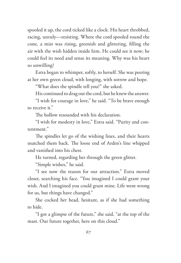spooled it up, the cord ticked like a clock. His heart throbbed, racing, unruly—resisting. Where the cord spooled round the cone, a mist was rising, greenish and glittering, filling the air with the wish hidden inside him. He could see it now; he could feel its need and sense its meaning. Why was his heart so unwilling?

Estra began to whimper, softly, to herself. She was peering at her own green cloud, with longing, with sorrow and hope.

"What does the spindle tell you?" she asked.

His continued to drag out the cord, but he knew the answer.

"I wish for courage in love," he said. "To be brave enough to receive it."

The hollow resounded with his declaration.

"I wish for modesty in love," Estra said. "Purity and contentment."

The spindles let go of the wishing lines, and their hearts snatched them back. The loose end of Arden's line whipped and vanished into his chest.

He turned, regarding her through the green glitter.

"Simple wishes," he said.

"I see now the reason for our attraction." Estra moved closer, searching his face. "You imagined I could grant your wish. And I imagined you could grant mine. Life went wrong for us, but things have changed."

She cocked her head, hesitant, as if she had something to hide.

"I got a glimpse of the future," she said, "at the top of the mast. Our future together, here on this cloud."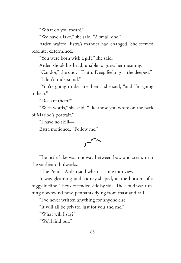"What do you mean?"

"We have a lake," she said. "A small one."

Arden waited. Estra's manner had changed. She seemed resolute, determined.

"You were born with a gift," she said.

Arden shook his head, unable to guess her meaning.

"Candor," she said. "Truth. Deep feelings—the deepest." "I don't understand."

"You're going to declare them," she said, "and I'm going to help."

"Declare them?"

"With words," she said, "like those you wrote on the back of Mariod's portrait."

"I have no skill—"

Estra motioned. "Follow me."

موسلىم

The little lake was midway between bow and stern, near the starboard bulwarks.

"The Pond," Arden said when it came into view.

It was gleaming and kidney-shaped, at the bottom of a foggy incline. They descended side by side. The cloud was running downwind now, pennants flying from mast and rail.

"I've never written anything for anyone else."

"It will all be private, just for you and me."

"What will I say?"

"We'll find out."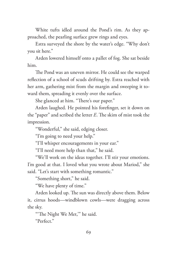White tufts idled around the Pond's rim. As they approached, the pearling surface grew rings and eyes.

Estra surveyed the shore by the water's edge. "Why don't you sit here."

Arden lowered himself onto a pallet of fog. She sat beside him.

The Pond was an uneven mirror. He could see the warped reflection of a school of scuds drifting by. Estra reached with her arm, gathering mist from the margin and sweeping it toward them, spreading it evenly over the surface.

She glanced at him. "There's our paper."

Arden laughed. He pointed his forefinger, set it down on the "paper" and scribed the letter *E*. The skim of mist took the impression.

"Wonderful," she said, edging closer.

"I'm going to need your help."

"I'll whisper encouragements in your ear."

"I'll need more help than that," he said.

"We'll work on the ideas together. I'll stir your emotions. I'm good at that. I loved what you wrote about Mariod," she said. "Let's start with something romantic."

"Something short," he said.

"We have plenty of time."

Arden looked up. The sun was directly above them. Below it, cirrus hoods—windblown cowls—were dragging across the sky.

"The Night We Met," he said.

"Perfect."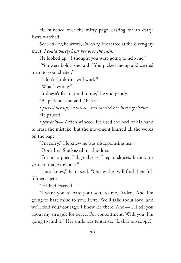He hunched over the misty page, casting for an entry. Estra watched.

*She was wet*, he wrote, *shivering.* He stared at the silver-gray sheet. *I could barely hear her over the rain.*

He looked up. "I thought you were going to help me."

"You were bold," she said. "You picked me up and carried me into your shelter."

"I don't think this will work."

"What's wrong?"

"It doesn't feel natural to me," he said gently.

"Be patient," she said. "Please."

*I picked her up*, he wrote, *and carried her into my shelter.* He paused.

*I felt bolb—* Arden winced. He used the heel of his hand to erase the mistake, but the movement blurred all the words on the page.

"I'm sorry." He knew he was disappointing her.

"Don't be." She kissed his shoulder.

"I'm not a poet. I dig culverts. I repair sluices. It took me years to make my boat."

"I just know," Estra said. "Our wishes will find their fulfillment here."

"If I had learned—"

"I want you to bare your soul to me, Arden. And I'm going to bare mine to you. Here. We'll talk about love, and we'll find your courage. I know it's there. And— I'll tell you about my struggle for peace. For contentment. With you, I'm going to find it." Her smile was tentative. "Is that too soppy?"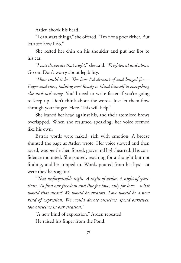Arden shook his head.

"I can start things," she offered. "I'm not a poet either. But let's see how I do."

She rested her chin on his shoulder and put her lips to his ear.

"*I was desperate that night*," she said. "*Frightened and alone.* Go on. Don't worry about legibility.

"*How could it be? The love I'd dreamt of and longed for— Eager and close, holding me? Ready to blind himself to everything else and sail away.* You'll need to write faster if you're going to keep up. Don't think about the words. Just let them flow through your finger. Here. This will help."

She leaned her head against his, and their atomized brows overlapped. When she resumed speaking, her voice seemed like his own.

Estra's words were naked, rich with emotion. A breeze shunted the page as Arden wrote. Her voice slowed and then raced, was gentle then forced, grave and lighthearted. His confidence mounted. She paused, reaching for a thought but not finding, and he jumped in. Words poured from his lips—or were they hers again?

"*That unforgettable night. A night of ardor. A night of questions. To find our freedom and live for love, only for love—what would that mean? We would be creators. Love would be a new kind of expression. We would devote ourselves, spend ourselves, lose ourselves in our creation.*"

"A new kind of expression," Arden repeated.

He raised his finger from the Pond.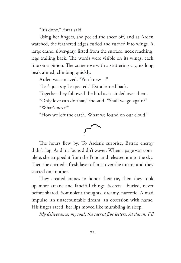"It's done," Estra said.

Using her fingers, she peeled the sheet off, and as Arden watched, the feathered edges curled and turned into wings. A large crane, silver-gray, lifted from the surface, neck reaching, legs trailing back. The words were visible on its wings, each line on a pinion. The crane rose with a stuttering cry, its long beak aimed, climbing quickly.

Arden was amazed. "You knew—"

"Let's just say I expected." Estra leaned back.

Together they followed the bird as it circled over them.

"Only love can do that," she said. "Shall we go again?" "What's next?"

"How we left the earth. What we found on our cloud."



The hours flew by. To Arden's surprise, Estra's energy didn't flag. And his focus didn't waver. When a page was complete, she stripped it from the Pond and released it into the sky. Then she curried a fresh layer of mist over the mirror and they started on another.

They created cranes to honor their tie, then they took up more arcane and fanciful things. Secrets—buried, never before shared. Somnolent thoughts, dreamy, narcotic. A mad impulse, an unaccountable dream, an obsession with name. His finger raced, her lips moved like mumbling in sleep.

*My deliverance, my soul, the sacred five letters. At dawn, I'll*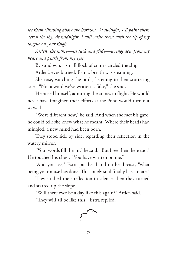*see them climbing above the horizon. At twilight, I'll paint them across the sky. At midnight, I will write them with the tip of my tongue on your thigh.*

*Arden, the name—its tuck and glide—wrings dew from my heart and pearls from my eyes.*

By sundown, a small flock of cranes circled the ship.

Arden's eyes burned. Estra's breath was steaming.

She rose, watching the birds, listening to their stuttering cries. "Not a word we've written is false," she said.

He raised himself, admiring the cranes in flight. He would never have imagined their efforts at the Pond would turn out so well.

"We're different now," he said. And when she met his gaze, he could tell: she knew what he meant. Where their heads had mingled, a new mind had been born.

They stood side by side, regarding their reflection in the watery mirror.

"Your words fill the air," he said. "But I see them here too." He touched his chest. "You have written on me."

"And you see," Estra put her hand on her breast, "what being your muse has done. This lonely soul finally has a mate."

They studied their reflection in silence, then they turned and started up the slope.

"Will there ever be a day like this again?" Arden said.

"They will all be like this," Estra replied.

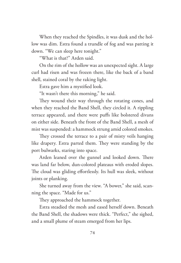When they reached the Spindles, it was dusk and the hollow was dim. Estra found a trundle of fog and was patting it down. "We can sleep here tonight."

"What is that?" Arden said.

On the rim of the hollow was an unexpected sight. A large curl had risen and was frozen there, like the back of a band shell, stained coral by the raking light.

Estra gave him a mystified look.

"It wasn't there this morning," he said.

They wound their way through the rotating cones, and when they reached the Band Shell, they circled it. A rippling terrace appeared, and there were puffs like bolstered divans on either side. Beneath the front of the Band Shell, a mesh of mist was suspended: a hammock strung amid colored smokes.

They crossed the terrace to a pair of misty veils hanging like drapery. Estra parted them. They were standing by the port bulwarks, staring into space.

Arden leaned over the gunnel and looked down. There was land far below, dun-colored plateaus with eroded slopes. The cloud was gliding effortlessly. Its hull was sleek, without joints or planking.

She turned away from the view. "A bower," she said, scanning the space. "Made for us."

They approached the hammock together.

Estra steadied the mesh and eased herself down. Beneath the Band Shell, the shadows were thick. "Perfect," she sighed, and a small plume of steam emerged from her lips.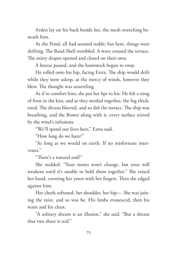Arden lay on his back beside her, the mesh stretching beneath him.

At the Pond, all had seemed stable; but here, things were shifting. The Band Shell trembled. A wave crossed the terrace. The misty drapes opened and closed on their own.

A breeze passed, and the hammock began to sway.

He rolled onto his hip, facing Estra. The ship would drift while they were asleep, at the mercy of winds, however they blew. The thought was unsettling.

As if to comfort him, she put her lips to his. He felt a sting of frost in the kiss, and as they nestled together, the fog thickened. The divans blurred, and so did the terrace. The ship was breathing, and the Bower along with it, every surface stirred by the wind's infusions.

"We'll spend our lives here," Estra said.

"How long do we have?"

"As long as we would on earth. If no misfortune intervenes."

"There's a natural end?"

She nodded. "Your motes won't change, but your will weakens until it's unable to hold them together." She raised her hand, covering her yawn with her fingers. Then she edged against him.

Her cheek softened, her shoulder, her hip— She was joining the mist, and so was he. His limbs evanesced, then his waist and his chest.

"A solitary dream is an illusion," she said. "But a dream that two share is real."